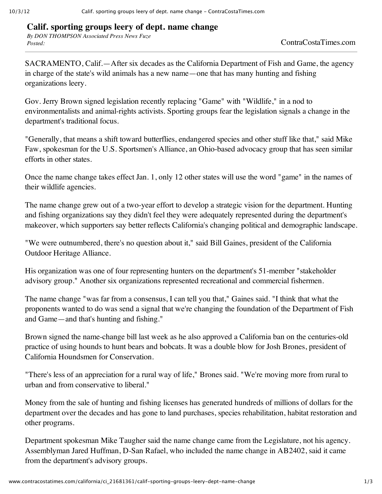## **Calif. sporting groups leery of dept. name change**

*By DON THOMPSON Associated Press News Fuze Posted:* ContraCostaTimes.com

SACRAMENTO, Calif.—After six decades as the California Department of Fish and Game, the agency in charge of the state's wild animals has a new name—one that has many hunting and fishing organizations leery.

Gov. Jerry Brown signed legislation recently replacing "Game" with "Wildlife," in a nod to environmentalists and animal-rights activists. Sporting groups fear the legislation signals a change in the department's traditional focus.

"Generally, that means a shift toward butterflies, endangered species and other stuff like that," said Mike Faw, spokesman for the U.S. Sportsmen's Alliance, an Ohio-based advocacy group that has seen similar efforts in other states.

Once the name change takes effect Jan. 1, only 12 other states will use the word "game" in the names of their wildlife agencies.

The name change grew out of a two-year effort to develop a strategic vision for the department. Hunting and fishing organizations say they didn't feel they were adequately represented during the department's makeover, which supporters say better reflects California's changing political and demographic landscape.

"We were outnumbered, there's no question about it," said Bill Gaines, president of the California Outdoor Heritage Alliance.

His organization was one of four representing hunters on the department's 51-member "stakeholder advisory group." Another six organizations represented recreational and commercial fishermen.

The name change "was far from a consensus, I can tell you that," Gaines said. "I think that what the proponents wanted to do was send a signal that we're changing the foundation of the Department of Fish and Game—and that's hunting and fishing."

Brown signed the name-change bill last week as he also approved a California ban on the centuries-old practice of using hounds to hunt bears and bobcats. It was a double blow for Josh Brones, president of California Houndsmen for Conservation.

"There's less of an appreciation for a rural way of life," Brones said. "We're moving more from rural to urban and from conservative to liberal."

Money from the sale of hunting and fishing licenses has generated hundreds of millions of dollars for the department over the decades and has gone to land purchases, species rehabilitation, habitat restoration and other programs.

Department spokesman Mike Taugher said the name change came from the Legislature, not his agency. Assemblyman Jared Huffman, D-San Rafael, who included the name change in AB2402, said it came from the department's advisory groups.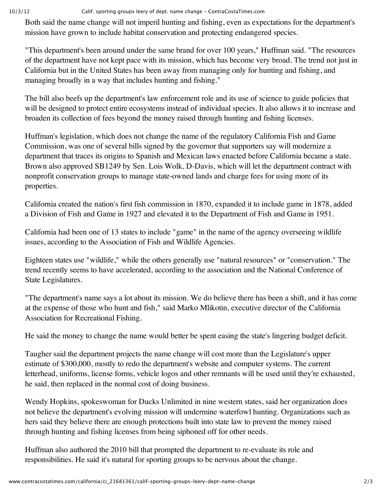## 10/3/12 Calif. sporting groups leery of dept. name change ‑ ContraCostaTimes.com

Both said the name change will not imperil hunting and fishing, even as expectations for the department's mission have grown to include habitat conservation and protecting endangered species.

"This department's been around under the same brand for over 100 years," Huffman said. "The resources of the department have not kept pace with its mission, which has become very broad. The trend not just in California but in the United States has been away from managing only for hunting and fishing, and managing broadly in a way that includes hunting and fishing."

The bill also beefs up the department's law enforcement role and its use of science to guide policies that will be designed to protect entire ecosystems instead of individual species. It also allows it to increase and broaden its collection of fees beyond the money raised through hunting and fishing licenses.

Huffman's legislation, which does not change the name of the regulatory California Fish and Game Commission, was one of several bills signed by the governor that supporters say will modernize a department that traces its origins to Spanish and Mexican laws enacted before California became a state. Brown also approved SB1249 by Sen. Lois Wolk, D-Davis, which will let the department contract with nonprofit conservation groups to manage state-owned lands and charge fees for using more of its properties.

California created the nation's first fish commission in 1870, expanded it to include game in 1878, added a Division of Fish and Game in 1927 and elevated it to the Department of Fish and Game in 1951.

California had been one of 13 states to include "game" in the name of the agency overseeing wildlife issues, according to the Association of Fish and Wildlife Agencies.

Eighteen states use "wildlife," while the others generally use "natural resources" or "conservation." The trend recently seems to have accelerated, according to the association and the National Conference of State Legislatures.

"The department's name says a lot about its mission. We do believe there has been a shift, and it has come at the expense of those who hunt and fish," said Marko Mlikotin, executive director of the California Association for Recreational Fishing.

He said the money to change the name would better be spent easing the state's lingering budget deficit.

Taugher said the department projects the name change will cost more than the Legislature's upper estimate of \$300,000, mostly to redo the department's website and computer systems. The current letterhead, uniforms, license forms, vehicle logos and other remnants will be used until they're exhausted, he said, then replaced in the normal cost of doing business.

Wendy Hopkins, spokeswoman for Ducks Unlimited in nine western states, said her organization does not believe the department's evolving mission will undermine waterfowl hunting. Organizations such as hers said they believe there are enough protections built into state law to prevent the money raised through hunting and fishing licenses from being siphoned off for other needs.

Huffman also authored the 2010 bill that prompted the department to re-evaluate its role and responsibilities. He said it's natural for sporting groups to be nervous about the change.